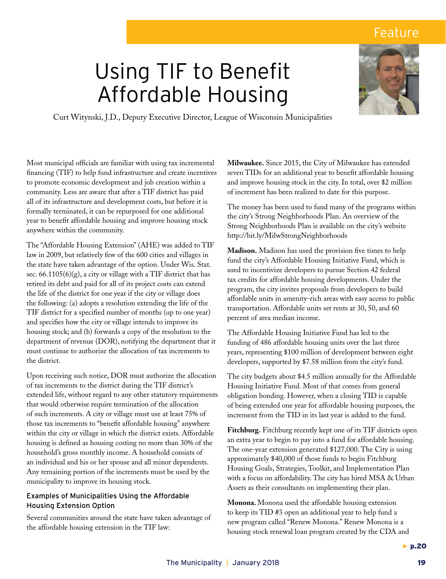## Feature

# Using TIF to Benefit Affordable Housing



Curt Witynski, J.D., Deputy Executive Director, League of Wisconsin Municipalities

Most municipal officials are familiar with using tax incremental financing (TIF) to help fund infrastructure and create incentives to promote economic development and job creation within a community. Less are aware that after a TIF district has paid all of its infrastructure and development costs, but before it is formally terminated, it can be repurposed for one additional year to benefit affordable housing and improve housing stock anywhere within the community.

The "Affordable Housing Extension" (AHE) was added to TIF law in 2009, but relatively few of the 600 cities and villages in the state have taken advantage of the option. Under Wis. Stat. sec.  $66.1105(6)(g)$ , a city or village with a TIF district that has retired its debt and paid for all of its project costs can extend the life of the district for one year if the city or village does the following: (a) adopts a resolution extending the life of the TIF district for a specified number of months (up to one year) and specifies how the city or village intends to improve its housing stock; and (b) forwards a copy of the resolution to the department of revenue (DOR), notifying the department that it must continue to authorize the allocation of tax increments to the district.

Upon receiving such notice, DOR must authorize the allocation of tax increments to the district during the TIF district's extended life, without regard to any other statutory requirements that would otherwise require termination of the allocation of such increments. A city or village must use at least 75% of those tax increments to "benefit affordable housing" anywhere within the city or village in which the district exists. Affordable housing is defined as housing costing no more than 30% of the household's gross monthly income. A household consists of an individual and his or her spouse and all minor dependents. Any remaining portion of the increments must be used by the municipality to improve its housing stock.

## Examples of Municipalities Using the Affordable Housing Extension Option

Several communities around the state have taken advantage of the affordable housing extension in the TIF law:

**Milwaukee.** Since 2015, the City of Milwaukee has extended seven TIDs for an additional year to benefit affordable housing and improve housing stock in the city. In total, over \$2 million of increment has been realized to date for this purpose.

The money has been used to fund many of the programs within the city's Strong Neighborhoods Plan. An overview of the Strong Neighborhoods Plan is available on the city's website http://bit.ly/MilwStrongNeighborhoods

**Madison.** Madison has used the provision five times to help fund the city's Affordable Housing Initiative Fund, which is used to incentivize developers to pursue Section 42 federal tax credits for affordable housing developments. Under the program, the city invites proposals from developers to build affordable units in amenity-rich areas with easy access to public transportation. Affordable units set rents at 30, 50, and 60 percent of area median income.

The Affordable Housing Initiative Fund has led to the funding of 486 affordable housing units over the last three years, representing \$100 million of development between eight developers, supported by \$7.58 million from the city's fund.

The city budgets about \$4.5 million annually for the Affordable Housing Initiative Fund. Most of that comes from general obligation bonding. However, when a closing TID is capable of being extended one year for affordable housing purposes, the increment from the TID in its last year is added to the fund.

**Fitchburg.** Fitchburg recently kept one of its TIF districts open an extra year to begin to pay into a fund for affordable housing. The one-year extension generated \$127,000. The City is using approximately \$40,000 of those funds to begin Fitchburg Housing Goals, Strategies, Toolkit, and Implementation Plan with a focus on affordability. The city has hired MSA & Urban Assets as their consultants on implementing their plan.

**Monona.** Monona used the affordable housing extension to keep its TID #3 open an additional year to help fund a new program called "Renew Monona." Renew Monona is a housing stock renewal loan program created by the CDA and